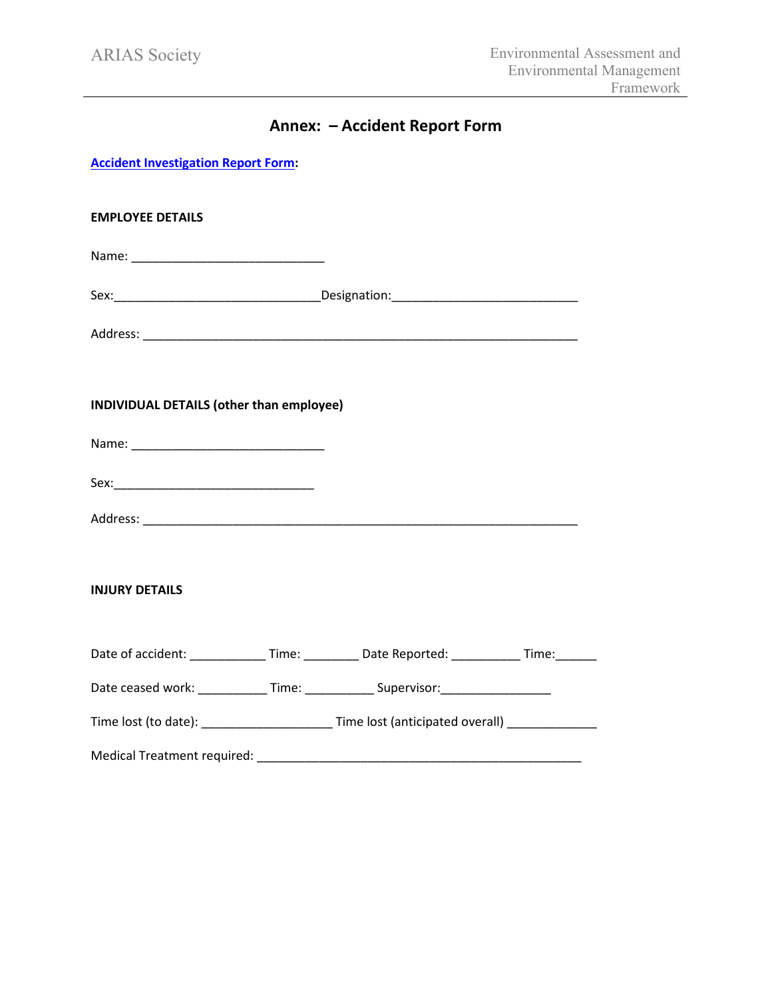## **Annex: – Accident Report Form**

**Accident Investigation Report Form:**

| <b>EMPLOYEE DETAILS</b>                                                                      |  |
|----------------------------------------------------------------------------------------------|--|
|                                                                                              |  |
|                                                                                              |  |
|                                                                                              |  |
| INDIVIDUAL DETAILS (other than employee)                                                     |  |
|                                                                                              |  |
|                                                                                              |  |
|                                                                                              |  |
| <b>INJURY DETAILS</b>                                                                        |  |
| Date of accident: ______________Time: ___________Date Reported: ____________Time: ________   |  |
| Date ceased work: _____________Time: ______________Supervisor: _________________             |  |
| Time lost (to date): _________________________Time lost (anticipated overall) ______________ |  |
|                                                                                              |  |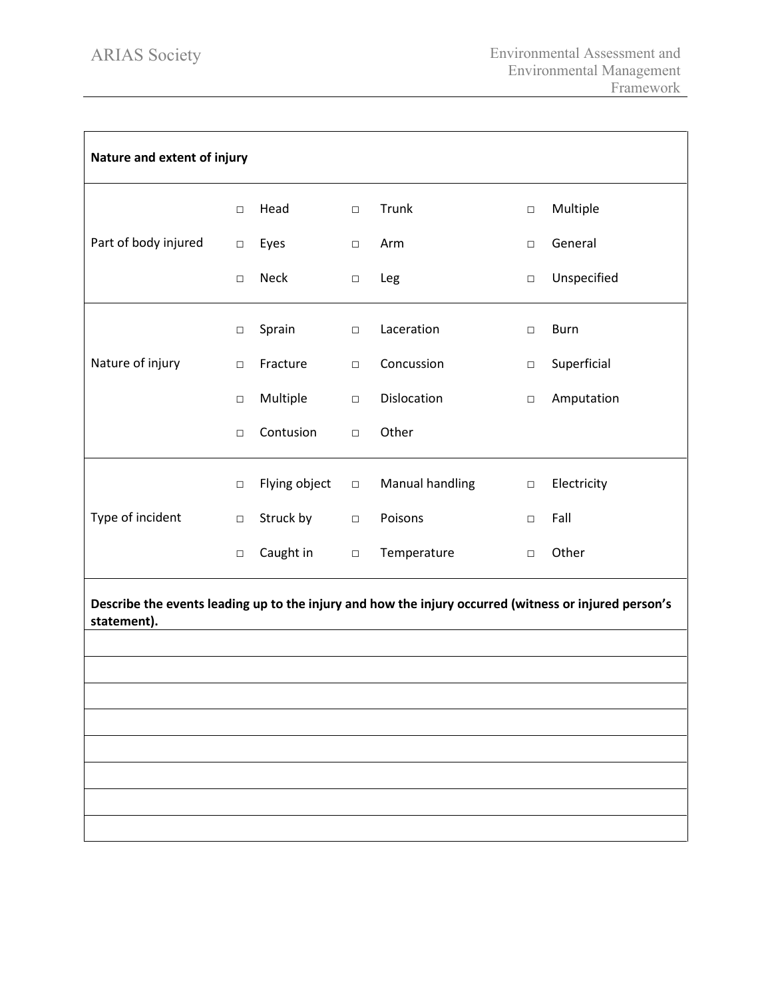| Nature and extent of injury                                                                                          |        |               |        |                 |        |             |
|----------------------------------------------------------------------------------------------------------------------|--------|---------------|--------|-----------------|--------|-------------|
|                                                                                                                      | $\Box$ | Head          | $\Box$ | Trunk           | $\Box$ | Multiple    |
| Part of body injured                                                                                                 | $\Box$ | Eyes          | $\Box$ | Arm             | $\Box$ | General     |
|                                                                                                                      | $\Box$ | <b>Neck</b>   | $\Box$ | Leg             | $\Box$ | Unspecified |
|                                                                                                                      | $\Box$ | Sprain        | $\Box$ | Laceration      | $\Box$ | <b>Burn</b> |
| Nature of injury                                                                                                     | $\Box$ | Fracture      | $\Box$ | Concussion      | $\Box$ | Superficial |
|                                                                                                                      | $\Box$ | Multiple      | $\Box$ | Dislocation     | $\Box$ | Amputation  |
|                                                                                                                      | $\Box$ | Contusion     | $\Box$ | Other           |        |             |
|                                                                                                                      | $\Box$ | Flying object | $\Box$ | Manual handling | $\Box$ | Electricity |
| Type of incident                                                                                                     | $\Box$ | Struck by     | $\Box$ | Poisons         | $\Box$ | Fall        |
|                                                                                                                      | $\Box$ | Caught in     | $\Box$ | Temperature     | $\Box$ | Other       |
| Describe the events leading up to the injury and how the injury occurred (witness or injured person's<br>statement). |        |               |        |                 |        |             |
|                                                                                                                      |        |               |        |                 |        |             |
|                                                                                                                      |        |               |        |                 |        |             |
|                                                                                                                      |        |               |        |                 |        |             |
|                                                                                                                      |        |               |        |                 |        |             |
|                                                                                                                      |        |               |        |                 |        |             |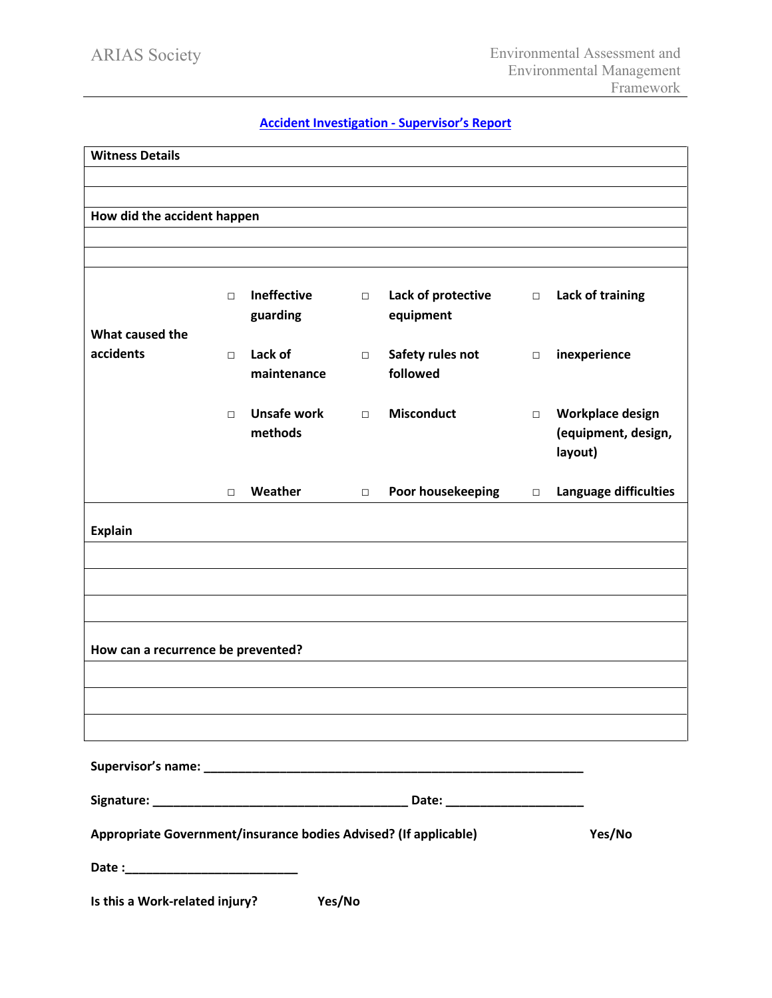## **Accident Investigation - Supervisor's Report**

| <b>Witness Details</b>                                           |        |                    |        |                    |        |                       |
|------------------------------------------------------------------|--------|--------------------|--------|--------------------|--------|-----------------------|
|                                                                  |        |                    |        |                    |        |                       |
| How did the accident happen                                      |        |                    |        |                    |        |                       |
|                                                                  |        |                    |        |                    |        |                       |
|                                                                  |        |                    |        |                    |        |                       |
|                                                                  | $\Box$ | <b>Ineffective</b> | $\Box$ | Lack of protective | $\Box$ | Lack of training      |
| What caused the                                                  |        | guarding           |        | equipment          |        |                       |
| accidents                                                        | $\Box$ | Lack of            | $\Box$ | Safety rules not   | $\Box$ | inexperience          |
|                                                                  |        | maintenance        |        | followed           |        |                       |
|                                                                  | $\Box$ | Unsafe work        | $\Box$ | <b>Misconduct</b>  | $\Box$ | Workplace design      |
|                                                                  |        | methods            |        |                    |        | (equipment, design,   |
|                                                                  |        |                    |        |                    |        | layout)               |
|                                                                  | $\Box$ | Weather            | $\Box$ | Poor housekeeping  | $\Box$ | Language difficulties |
|                                                                  |        |                    |        |                    |        |                       |
| <b>Explain</b>                                                   |        |                    |        |                    |        |                       |
|                                                                  |        |                    |        |                    |        |                       |
|                                                                  |        |                    |        |                    |        |                       |
|                                                                  |        |                    |        |                    |        |                       |
| How can a recurrence be prevented?                               |        |                    |        |                    |        |                       |
|                                                                  |        |                    |        |                    |        |                       |
|                                                                  |        |                    |        |                    |        |                       |
|                                                                  |        |                    |        |                    |        |                       |
|                                                                  |        |                    |        |                    |        |                       |
|                                                                  |        |                    |        |                    |        |                       |
|                                                                  |        |                    |        |                    |        |                       |
| Appropriate Government/insurance bodies Advised? (If applicable) |        |                    |        |                    |        | Yes/No                |
|                                                                  |        |                    |        |                    |        |                       |
| Is this a Work-related injury?                                   |        | Yes/No             |        |                    |        |                       |